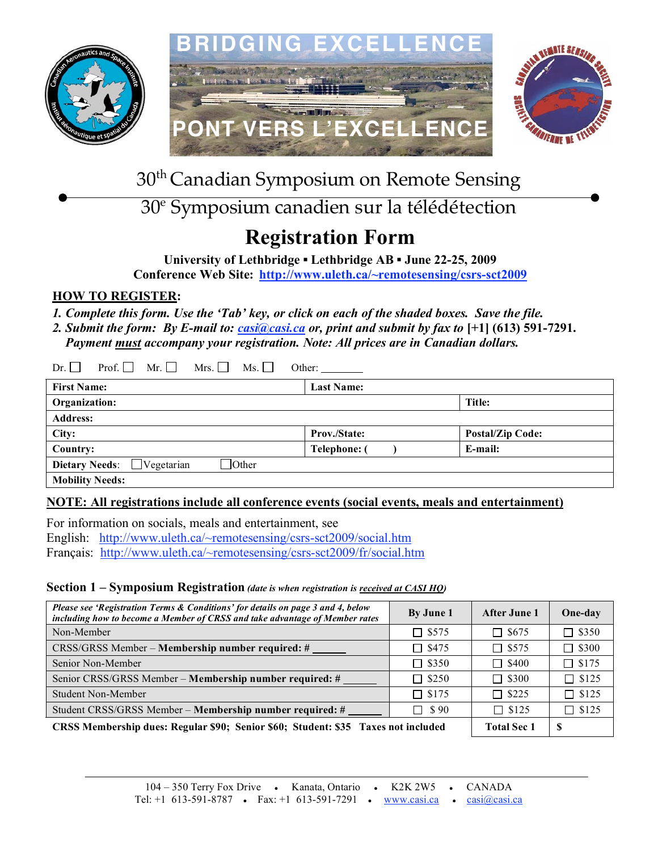





30th Canadian Symposium on Remote Sensing

# 30e Symposium canadien sur la télédétection

# **Registration Form**

**University of Lethbridge ▪ Lethbridge AB ▪ June 22-25, 2009**

**Conference Web Site: http://www.uleth.ca/~remotesensing/csrs-sct2009**

# **HOW TO REGISTER:**

*1. Complete this form. Use the 'Tab' key, or click on each of the shaded boxes. Save the file.*

2. Submit the form: By E-mail to: *casi@casi.ca or, print and submit by fax to* [+1] (613) 591-7291.

 *Payment must accompany your registration. Note: All prices are in Canadian dollars.*

| Prof. $\vert \vert$<br>Mr.<br>Mrs. $\vert$<br>Dr.<br>Ms.<br>Other: |                     |                         |  |
|--------------------------------------------------------------------|---------------------|-------------------------|--|
| <b>First Name:</b><br><b>Last Name:</b>                            |                     |                         |  |
| Organization:                                                      |                     | <b>Title:</b>           |  |
| <b>Address:</b>                                                    |                     |                         |  |
| City:                                                              | Prov./State:        | <b>Postal/Zip Code:</b> |  |
| Country:                                                           | <b>Telephone:</b> ( | E-mail:                 |  |
| $\Box$ Other<br><b>Dietary Needs:</b><br>$\Box$ Vegetarian         |                     |                         |  |
| <b>Mobility Needs:</b>                                             |                     |                         |  |

# **NOTE: All registrations include all conference events (social events, meals and entertainment)**

For information on socials, meals and entertainment, see English: http://www.uleth.ca/~remotesensing/csrs-sct2009/social.htm Français: http://www.uleth.ca/~remotesensing/csrs-sct2009/fr/social.htm

# **Section 1 – Symposium Registration** *(date is when registration is received at CASI HQ)*

| Please see 'Registration Terms & Conditions' for details on page 3 and 4, below<br>including how to become a Member of CRSS and take advantage of Member rates | By June 1          | After June 1 | One-day      |
|----------------------------------------------------------------------------------------------------------------------------------------------------------------|--------------------|--------------|--------------|
| Non-Member                                                                                                                                                     | $\Box$ \$575       | $\Box$ \$675 | $\Box$ \$350 |
| CRSS/GRSS Member – Membership number required: #                                                                                                               | $\Box$ \$475       | $\Box$ \$575 | $\Box$ \$300 |
| Senior Non-Member                                                                                                                                              | $\Box$ \$350       | $\Box$ \$400 | $\Box$ \$175 |
| Senior CRSS/GRSS Member – Membership number required: #                                                                                                        | $\Box$ \$250       | $\Box$ \$300 | $\Box$ \$125 |
| Student Non-Member                                                                                                                                             | $\Box$ \$175       | $\Box$ \$225 | $\Box$ \$125 |
| Student CRSS/GRSS Member - Membership number required: #                                                                                                       | $\Box$ \$90        | $\Box$ \$125 | $\Box$ \$125 |
| CRSS Membership dues: Regular \$90; Senior \$60; Student: \$35 Taxes not included                                                                              | <b>Total Sec 1</b> | -S           |              |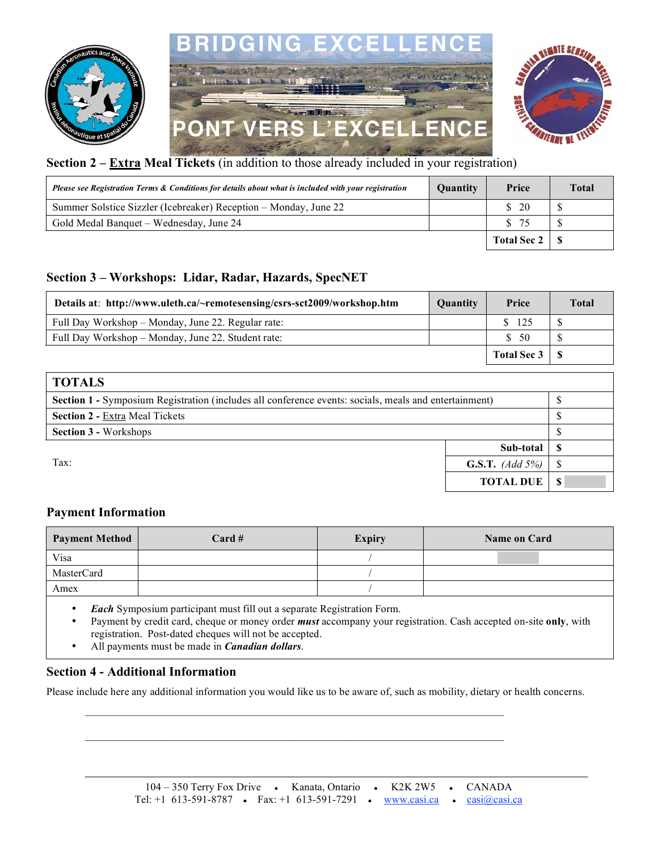



| Please see Registration Terms & Conditions for details about what is included with your registration | <b>Quantity</b> | Price                        | <b>Total</b> |
|------------------------------------------------------------------------------------------------------|-----------------|------------------------------|--------------|
| Summer Solstice Sizzler (Icebreaker) Reception – Monday, June 22                                     |                 | $\frac{\text{S}}{\text{20}}$ |              |
| Gold Medal Banquet – Wednesday, June 24                                                              |                 | \$75                         |              |
|                                                                                                      |                 | Total Sec 2   \$             |              |

## **Section 3 – Workshops: Lidar, Radar, Hazards, SpecNET**

| Details at: http://www.uleth.ca/~remotesensing/csrs-sct2009/workshop.htm | <b>Quantity</b> | Price       | <b>Total</b> |
|--------------------------------------------------------------------------|-----------------|-------------|--------------|
| Full Day Workshop – Monday, June 22. Regular rate:                       |                 | \$ 125      |              |
| Full Day Workshop – Monday, June 22. Student rate:                       |                 | \$50        |              |
|                                                                          |                 | Total Sec 3 |              |

| <b>TOTALS</b>                                                                                         |                                |  |
|-------------------------------------------------------------------------------------------------------|--------------------------------|--|
| Section 1 - Symposium Registration (includes all conference events: socials, meals and entertainment) |                                |  |
| <b>Section 2 - Extra Meal Tickets</b>                                                                 |                                |  |
| <b>Section 3 - Workshops</b>                                                                          |                                |  |
|                                                                                                       | Sub-total                      |  |
| Tax:                                                                                                  | <b>G.S.T.</b> ( <i>Add</i> 5%) |  |
|                                                                                                       | <b>TOTAL DUE</b>               |  |

## **Payment Information**

| Payment Method | $Card \#$ | <b>Expiry</b> | <b>Name on Card</b> |
|----------------|-----------|---------------|---------------------|
| Visa           |           |               |                     |
| MasterCard     |           |               |                     |
| Amex           |           |               |                     |

- *Each* Symposium participant must fill out a separate Registration Form.
- Payment by credit card, cheque or money order *must* accompany your registration. Cash accepted on-site **only**, with registration. Post-dated cheques will not be accepted.
- All payments must be made in *Canadian dollars*.

#### **Section 4 - Additional Information**

Please include here any additional information you would like us to be aware of, such as mobility, dietary or health concerns.

 $\mathcal{L}_\mathcal{L} = \{ \mathcal{L}_\mathcal{L} = \{ \mathcal{L}_\mathcal{L} = \{ \mathcal{L}_\mathcal{L} = \{ \mathcal{L}_\mathcal{L} = \{ \mathcal{L}_\mathcal{L} = \{ \mathcal{L}_\mathcal{L} = \{ \mathcal{L}_\mathcal{L} = \{ \mathcal{L}_\mathcal{L} = \{ \mathcal{L}_\mathcal{L} = \{ \mathcal{L}_\mathcal{L} = \{ \mathcal{L}_\mathcal{L} = \{ \mathcal{L}_\mathcal{L} = \{ \mathcal{L}_\mathcal{L} = \{ \mathcal{L}_\mathcal{$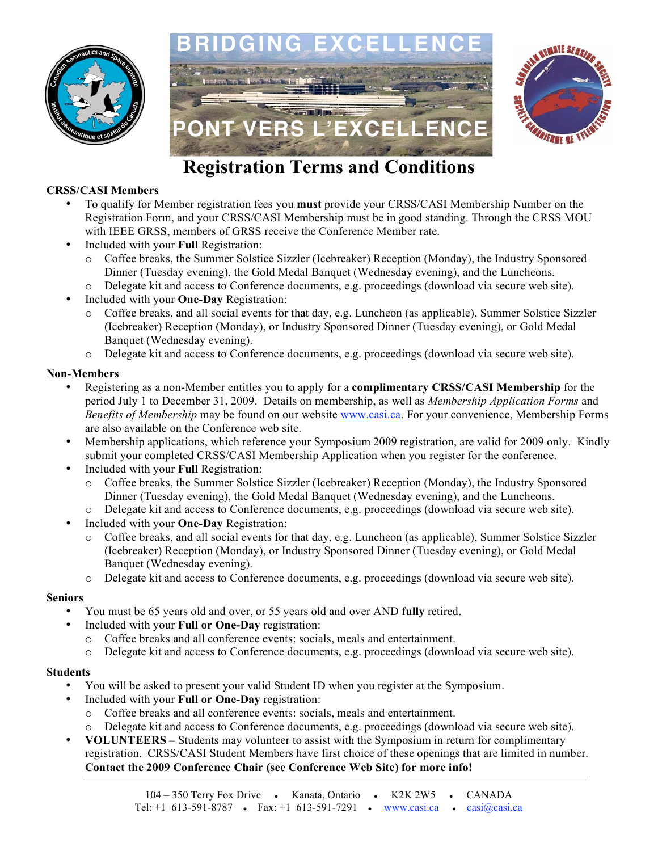







# **Registration Terms and Conditions**

### **CRSS/CASI Members**

- To qualify for Member registration fees you **must** provide your CRSS/CASI Membership Number on the Registration Form, and your CRSS/CASI Membership must be in good standing. Through the CRSS MOU with IEEE GRSS, members of GRSS receive the Conference Member rate.
- Included with your **Full** Registration:
	- o Coffee breaks, the Summer Solstice Sizzler (Icebreaker) Reception (Monday), the Industry Sponsored Dinner (Tuesday evening), the Gold Medal Banquet (Wednesday evening), and the Luncheons.
	- o Delegate kit and access to Conference documents, e.g. proceedings (download via secure web site).
- Included with your **One-Day** Registration:
	- o Coffee breaks, and all social events for that day, e.g. Luncheon (as applicable), Summer Solstice Sizzler (Icebreaker) Reception (Monday), or Industry Sponsored Dinner (Tuesday evening), or Gold Medal Banquet (Wednesday evening).
	- o Delegate kit and access to Conference documents, e.g. proceedings (download via secure web site).

### **Non-Members**

- Registering as a non-Member entitles you to apply for a **complimentary CRSS/CASI Membership** for the period July 1 to December 31, 2009. Details on membership, as well as *Membership Application Forms* and *Benefits of Membership* may be found on our website www.casi.ca. For your convenience, Membership Forms are also available on the Conference web site.
- Membership applications, which reference your Symposium 2009 registration, are valid for 2009 only. Kindly submit your completed CRSS/CASI Membership Application when you register for the conference.
- Included with your **Full** Registration:
	- o Coffee breaks, the Summer Solstice Sizzler (Icebreaker) Reception (Monday), the Industry Sponsored Dinner (Tuesday evening), the Gold Medal Banquet (Wednesday evening), and the Luncheons.
	- o Delegate kit and access to Conference documents, e.g. proceedings (download via secure web site).
- Included with your **One-Day** Registration:
	- o Coffee breaks, and all social events for that day, e.g. Luncheon (as applicable), Summer Solstice Sizzler (Icebreaker) Reception (Monday), or Industry Sponsored Dinner (Tuesday evening), or Gold Medal Banquet (Wednesday evening).
	- o Delegate kit and access to Conference documents, e.g. proceedings (download via secure web site).

#### **Seniors**

- You must be 65 years old and over, or 55 years old and over AND **fully** retired.
- Included with your **Full or One-Day** registration:
	- o Coffee breaks and all conference events: socials, meals and entertainment.
	- o Delegate kit and access to Conference documents, e.g. proceedings (download via secure web site).

#### **Students**

- You will be asked to present your valid Student ID when you register at the Symposium.
- Included with your **Full or One-Day** registration:
	- o Coffee breaks and all conference events: socials, meals and entertainment.
	- Delegate kit and access to Conference documents, e.g. proceedings (download via secure web site).
- **VOLUNTEERS** Students may volunteer to assist with the Symposium in return for complimentary registration. CRSS/CASI Student Members have first choice of these openings that are limited in number. **Contact the 2009 Conference Chair (see Conference Web Site) for more info!**